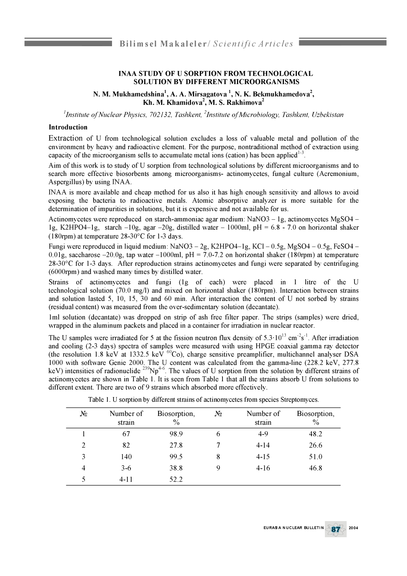## **INAA STUDY OF U SORPTION FROM TECHNOLOGICAL SOLUTION BY DIFFERENT MICROORGANISMS**

**N. M. Mukhamedshina1, A. A. Mirsagatova 1, N. K. Bekmukhamedova2, Kh. M. Khamidova2, M. S. Rakhimova**2

<sup>1</sup>Institute of Nuclear Physics, 702132, Tashkent, <sup>2</sup>Institute of Microbiology, Tashkent, Uzbekistan

## **Introduction**

Extraction of U from technological solution excludes a loss of valuable metal and pollution of the environment by heavy and radioactive element. For the purpose, nontraditional method of extraction using capacity of the microorganism sells to accumulate metal ions (cation) has been applied<sup>1-3</sup>.

Aim of this work is to study of U sorption from technological solutions by different microorganisms and to search more effective biosorbents among microorganisms**-** actinomycetes, fungal culture (Acremonium, Aspergillus) by using INAA.

INAA is more available and cheap method for us also it has high enough sensitivity and allows to avoid exposing the bacteria to radioactive metals. Atomic absorptive analyzer is more suitable for the determination of impurities in solutions, but it is expensive and not available for us.

Actinomycetes were reproduced on starch-ammoniac agar medium: NaNO3 – 1g, actinomycetes MgSO4 – 1g, K2HPO4-1g, starch -10g, agar -20g, distilled water - 1000ml, pH =  $6.8$  - 7.0 on horizontal shaker (180rpm) at temperature 28-30°C for 1-3 days.

Fungi were reproduced in liquid medium: NaNO3 - 2g, K2HPO4-1g, KCl - 0.5g, MgSO4 - 0.5g, FeSO4 -0.01g, saccharose  $-20.0$ g, tap water  $-1000$ ml, pH = 7.0-7.2 on horizontal shaker (180rpm) at temperature 28-30°C for 1-3 days. After reproduction strains actinomycetes and fungi were separated by centrifuging (6000rpm) and washed many times by distilled water.

Strains of actinomycetes and fungi (1g of each) were placed in 1 litre of the U technological solution (70.0 mg/l) and mixed on horizontal shaker (180rpm). Interaction between strains and solution lasted 5, 10, 15, 30 and 60 min. After interaction the content of U not sorbed by strains (residual content) was measured from the over-sedimentary solution (decantate).

1ml solution (decantate) was dropped on strip of ash free filter paper. The strips (samples) were dried, wrapped in the aluminum packets and placed in a container for irradiation in nuclear reactor.

The U samples were irradiated for 5 at the fission neutron flux density of  $5.3 \cdot 10^{13}$  cm<sup>-2</sup>s<sup>-1</sup>. After irradiation and cooling (2-3 days) spectra of samples were measured with using HPGE coaxial gamma ray detector (the resolution 1.8 keV at 1332.5 keV  ${}^{60}Co$ ), charge sensitive preamplifier, multichannel analyser DSA 1000 with software Genie 2000. The U content was calculated from the gamma-line (228.2 keV, 277.8 keV) intensities of radionuclide <sup>239</sup>Np<sup>4-6</sup>. The values of U sorption from the solution by different strains of actinomycetes are shown in Table 1. It is seen from Table 1 that all the strains absorb U from solutions to different extent. There are two of 9 strains which absorbed more effectively.

| $N_2$          | Number of<br>strain | Biosorption,<br>$\frac{0}{0}$ | $N_2$       | Number of<br>strain | Biosorption,<br>$\frac{0}{0}$ |
|----------------|---------------------|-------------------------------|-------------|---------------------|-------------------------------|
|                | 67                  | 98.9                          | 6           | $4 - 9$             | 48.2                          |
| $\overline{2}$ | 82                  | 27.8                          |             | $4-14$              | 26.6                          |
| 3              | 140                 | 99.5                          | 8           | $4-15$              | 51.0                          |
| $\overline{4}$ | $3-6$               | 38.8                          | $\mathbf Q$ | $4-16$              | 46.8                          |
| 5              | 4-11                | 52.2                          |             |                     |                               |

Table 1. U sorption by different strains of actinomycetes from species Streptomyces.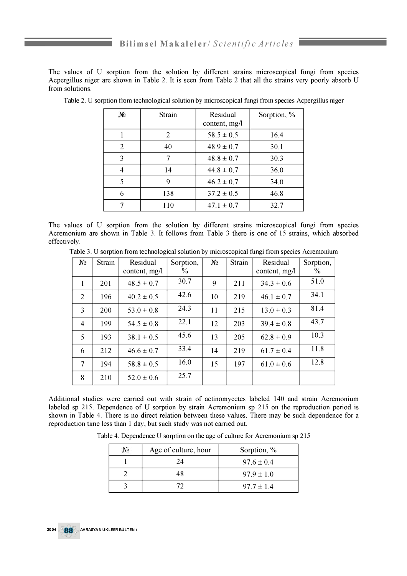The values of U sorption from the solution by different strains microscopical fungi from species Acpergillus niger are shown in Table 2. It is seen from Table 2 that all the strains very poorly absorb U from solutions.

| No | Strain         | Residual<br>content, mg/l | Sorption, % |
|----|----------------|---------------------------|-------------|
|    | $\overline{2}$ | $58.5 \pm 0.5$            | 16.4        |
| 2  | 40             | $48.9 \pm 0.7$            | 30.1        |
| 3  |                | $48.8 \pm 0.7$            | 30.3        |
|    | 14             | $44.8 \pm 0.7$            | 36.0        |
| 5  | 9              | $46.2 \pm 0.7$            | 34.0        |
| 6  | 138            | $37.2 \pm 0.5$            | 46.8        |
|    | 110            | $47.1 \pm 0.7$            | 32.7        |

Table 2. U sorption from technological solution by microscopical fungi from species Acpergillus niger

The values of U sorption from the solution by different strains microscopical fungi from species Acremonium are shown in Table 3. It follows from Table 3 there is one of 15 strains, which absorbed effectively.

Table 3. U sorption from technological solution by microscopical fungi from species Acremonium

| $N_2$          | Strain | Residual        | Sorption, | $N_2$ | Strain | Residual        | Sorption, |
|----------------|--------|-----------------|-----------|-------|--------|-----------------|-----------|
|                |        | content, $mg/l$ | $\%$      |       |        | content, $mg/l$ | $\%$      |
| 1              | 201    | $48.5 \pm 0.7$  | 30.7      | 9     | 211    | $34.3 \pm 0.6$  | 51.0      |
| $\overline{2}$ | 196    | $40.2 \pm 0.5$  | 42.6      | 10    | 219    | $46.1 \pm 0.7$  | 34.1      |
| 3              | 200    | 53 0 $\pm$ 0 8  | 24.3      | 11    | 215    | $13.0 \pm 0.3$  | 81.4      |
| $\overline{4}$ | 199    | $54.5 \pm 0.8$  | 22.1      | 12    | 203    | $39.4 \pm 0.8$  | 43.7      |
| 5              | 193    | $38.1 \pm 0.5$  | 45.6      | 13    | 205    | $62.8 \pm 0.9$  | 10.3      |
| 6              | 212    | $46.6 \pm 0.7$  | 33.4      | 14    | 219    | $61.7 \pm 0.4$  | 11.8      |
| 7              | 194    | $58.8 \pm 0.5$  | 16.0      | 15    | 197    | $61.0 \pm 0.6$  | 12.8      |
| 8              | 210    | $52.0 \pm 0.6$  | 25.7      |       |        |                 |           |

Additional studies were carried out with strain of actinomycetes labeled 140 and strain Acremonium labeled sp 215. Dependence of U sorption by strain Acremonium sp 215 on the reproduction period is shown in Table 4. There is no direct relation between these values. There may be such dependence for a reproduction time less than 1 day, but such study was not carried out.

Table 4. Dependence U sorption on the age of culture for Acremonium sp 215

| No | Age of culture, hour | Sorption, $\%$ |
|----|----------------------|----------------|
|    | 24                   | $97.6 \pm 0.4$ |
|    | 48                   | $97.9 + 1.0$   |
|    |                      | $97.7 + 1.4$   |